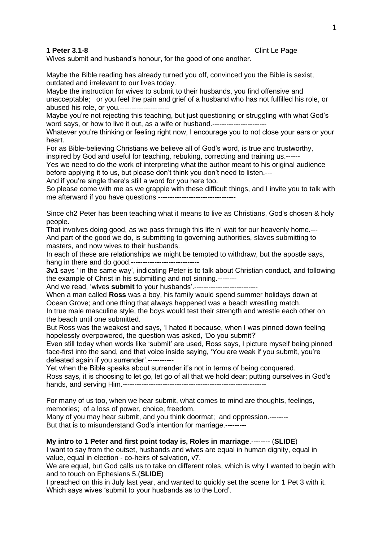**1 Peter 3.1-8** Clint Le Page

Wives submit and husband's honour, for the good of one another.

Maybe the Bible reading has already turned you off, convinced you the Bible is sexist, outdated and irrelevant to our lives today.

Maybe the instruction for wives to submit to their husbands, you find offensive and unacceptable; or you feel the pain and grief of a husband who has not fulfilled his role, or abused his role, or you.---------------------

Maybe you're not rejecting this teaching, but just questioning or struggling with what God's word says, or how to live it out, as a wife or husband.-----------------------

Whatever you're thinking or feeling right now, I encourage you to not close your ears or your heart.

For as Bible-believing Christians we believe all of God's word, is true and trustworthy, inspired by God and useful for teaching, rebuking, correcting and training us.------

Yes we need to do the work of interpreting what the author meant to his original audience before applying it to us, but please don't think you don't need to listen.---

And if you're single there's still a word for you here too.

So please come with me as we grapple with these difficult things, and I invite you to talk with me afterward if you have questions.---------------------------------

Since ch2 Peter has been teaching what it means to live as Christians, God's chosen & holy people.

That involves doing good, as we pass through this life n' wait for our heavenly home.--- And part of the good we do, is submitting to governing authorities, slaves submitting to masters, and now wives to their husbands.

In each of these are relationships we might be tempted to withdraw, but the apostle says, hang in there and do good.-----------------------------

**3v1** says ' in the same way', indicating Peter is to talk about Christian conduct, and following the example of Christ in his submitting and not sinning.--------

And we read, 'wives **submit** to your husbands'.---------------------------

When a man called **Ross** was a boy, his family would spend summer holidays down at Ocean Grove; and one thing that always happened was a beach wrestling match. In true male masculine style, the boys would test their strength and wrestle each other on the beach until one submitted.

But Ross was the weakest and says, 'I hated it because, when I was pinned down feeling hopelessly overpowered, the question was asked, 'Do you submit?'

Even still today when words like 'submit' are used, Ross says, I picture myself being pinned face-first into the sand, and that voice inside saying, 'You are weak if you submit, you're defeated again if you surrender'.-----------

Yet when the Bible speaks about surrender it's not in terms of being conquered. Ross says, it is choosing to let go, let go of all that we hold dear; putting ourselves in God's hands, and serving Him.-------------------------------------------------------------

For many of us too, when we hear submit, what comes to mind are thoughts, feelings, memories; of a loss of power, choice, freedom.

Many of you may hear submit, and you think doormat; and oppression.-------- But that is to misunderstand God's intention for marriage.---------

**My intro to 1 Peter and first point today is, Roles in marriage**.-------- (**SLIDE**)

I want to say from the outset, husbands and wives are equal in human dignity, equal in value, equal in election - co-heirs of salvation, v7.

We are equal, but God calls us to take on different roles, which is why I wanted to begin with and to touch on Ephesians 5.(**SLIDE**)

I preached on this in July last year, and wanted to quickly set the scene for 1 Pet 3 with it. Which says wives 'submit to your husbands as to the Lord'.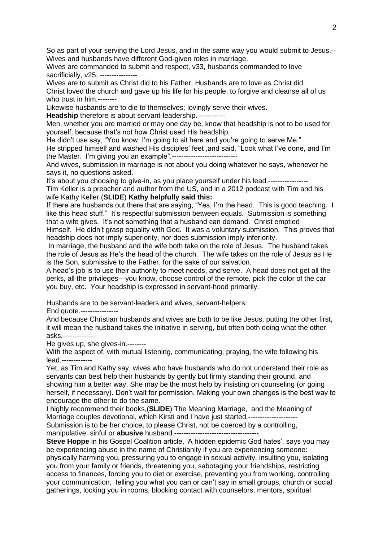So as part of your serving the Lord Jesus, and in the same way you would submit to Jesus.-- Wives and husbands have different God-given roles in marriage.

Wives are commanded to submit and respect, v33, husbands commanded to love sacrificially, v25,.----------------

Wives are to submit as Christ did to his Father. Husbands are to love as Christ did. Christ loved the church and gave up his life for his people, to forgive and cleanse all of us who trust in him.--------

Likewise husbands are to die to themselves; lovingly serve their wives.

**Headship** therefore is about servant-leadership.------------

Men, whether you are married or may one day be, know that headship is not to be used for yourself, because that's not how Christ used His headship.

He didn't use say, "You know, I'm going to sit here and you're going to serve Me." He stripped himself and washed His disciples' feet ,and said, "Look what I've done, and I'm the Master. I'm giving you an example".----------------------------

And wives, submission in marriage is not about you doing whatever he says, whenever he says it, no questions asked.

It's about you choosing to give-in, as you place yourself under his lead.-----------------Tim Keller is a preacher and author from the US, and in a 2012 podcast with Tim and his wife Kathy Keller,(**SLIDE**) **Kathy helpfully said this:**

If there are husbands out there that are saying, "Yes, I'm the head. This is good teaching. I like this head stuff." It's respectful submission between equals. Submission is something that a wife gives. It's not something that a husband can demand. Christ emptied

Himself. He didn't grasp equality with God. It was a voluntary submission. This proves that headship does not imply superiority, nor does submission imply inferiority.

In marriage, the husband and the wife both take on the role of Jesus. The husband takes the role of Jesus as He's the head of the church. The wife takes on the role of Jesus as He is the Son, submissive to the Father, for the sake of our salvation.

A head's job is to use their authority to meet needs, and serve. A head does not get all the perks, all the privileges—you know, choose control of the remote, pick the color of the car you buy, etc. Your headship is expressed in servant-hood primarily.

Husbands are to be servant-leaders and wives, servant-helpers.

End quote.----------------

And because Christian husbands and wives are both to be like Jesus, putting the other first, it will mean the husband takes the initiative in serving, but often both doing what the other asks.--------------

He gives up, she gives-in.--------

With the aspect of, with mutual listening, communicating, praying, the wife following his lead.-------------

Yet, as Tim and Kathy say, wives who have husbands who do not understand their role as servants can best help their husbands by gently but firmly standing their ground, and showing him a better way. She may be the most help by insisting on counseling (or going herself, if necessary). Don't wait for permission. Making your own changes is the best way to encourage the other to do the same.

I highly recommend their books,(**SLIDE**) The Meaning Marriage, and the Meaning of Marriage couples devotional, which Kirsti and I have just started.----------------

Submission is to be her choice, to please Christ, not be coerced by a controlling,

manipulative, sinful or **abusive** husband.------------------------------------

**Steve Hoppe** in his Gospel Coalition article, 'A hidden epidemic God hates', says you may be experiencing abuse in the name of Christianity if you are experiencing someone: physically harming you, pressuring you to engage in sexual activity, insulting you, isolating you from your family or friends, threatening you, sabotaging your friendships, restricting access to finances, forcing you to diet or exercise, preventing you from working, controlling your communication, telling you what you can or can't say in small groups, church or social gatherings, locking you in rooms, blocking contact with counselors, mentors, spiritual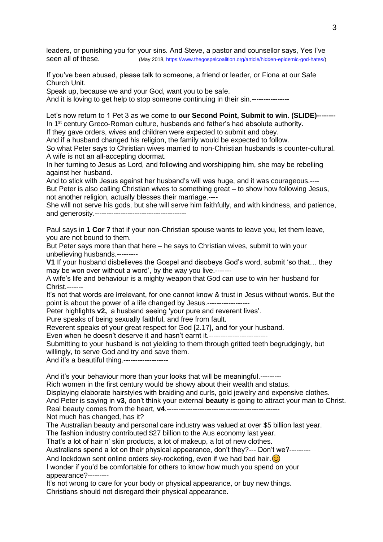leaders, or punishing you for your sins. And Steve, a pastor and counsellor says, Yes I've seen all of these. (May 2018[, https://www.thegospelcoalition.org/article/hidden-epidemic-god-hates/\)](https://www.thegospelcoalition.org/article/hidden-epidemic-god-hates/)

If you've been abused, please talk to someone, a friend or leader, or Fiona at our Safe Church Unit.

Speak up, because we and your God, want you to be safe.

And it is loving to get help to stop someone continuing in their sin.----------------

Let's now return to 1 Pet 3 as we come to **our Second Point, Submit to win. (SLIDE)--------** In 1<sup>st</sup> century Greco-Roman culture, husbands and father's had absolute authority. If they gave orders, wives and children were expected to submit and obey.

And if a husband changed his religion, the family would be expected to follow.

So what Peter says to Christian wives married to non-Christian husbands is counter-cultural. A wife is not an all-accepting doormat.

In her turning to Jesus as Lord, and following and worshipping him, she may be rebelling against her husband.

And to stick with Jesus against her husband's will was huge, and it was courageous.---- But Peter is also calling Christian wives to something great – to show how following Jesus, not another religion, actually blesses their marriage.----

She will not serve his gods, but she will serve him faithfully, and with kindness, and patience, and generosity.---------------------------------------

Paul says in **1 Cor 7** that if your non-Christian spouse wants to leave you, let them leave, you are not bound to them.

But Peter says more than that here – he says to Christian wives, submit to win your unbelieving husbands.---------

**V1** If your husband disbelieves the Gospel and disobeys God's word, submit 'so that… they may be won over without a word', by the way you live.-------

A wife's life and behaviour is a mighty weapon that God can use to win her husband for Christ.-------

It's not that words are irrelevant, for one cannot know & trust in Jesus without words. But the point is about the power of a life changed by Jesus.------------------

Peter highlights **v2,** a husband seeing 'your pure and reverent lives'.

Pure speaks of being sexually faithful, and free from fault.

Reverent speaks of your great respect for God [2.17], and for your husband.

Even when he doesn't deserve it and hasn't earnt it.---------------------------

Submitting to your husband is not yielding to them through gritted teeth begrudgingly, but willingly, to serve God and try and save them.

And it's a beautiful thing.-------------------

And it's your behaviour more than your looks that will be meaningful.---------

Rich women in the first century would be showy about their wealth and status.

Displaying elaborate hairstyles with braiding and curls, gold jewelry and expensive clothes.

And Peter is saying in **v3**, don't think your external **beauty** is going to attract your man to Christ.

Real beauty comes from the heart, **v4**.------------------------------------------------ Not much has changed, has it?

The Australian beauty and personal care industry was valued at over \$5 billion last year.

The fashion industry contributed \$27 billion to the Aus economy last year.

That's a lot of hair n' skin products, a lot of makeup, a lot of new clothes.

Australians spend a lot on their physical appearance, don't they?--- Don't we?---------

And lockdown sent online orders sky-rocketing, even if we had bad hair.  $\odot$ 

I wonder if you'd be comfortable for others to know how much you spend on your appearance?---------

It's not wrong to care for your body or physical appearance, or buy new things. Christians should not disregard their physical appearance.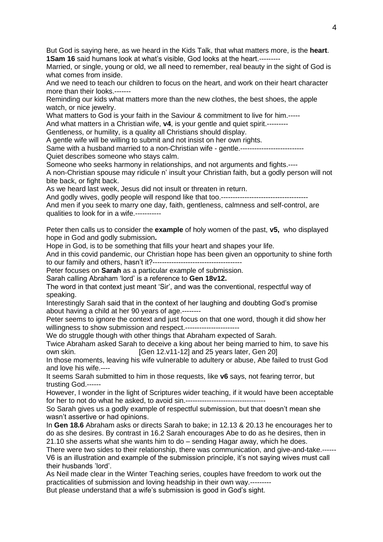But God is saying here, as we heard in the Kids Talk, that what matters more, is the **heart**. **1Sam 16** said humans look at what's visible, God looks at the heart.---------

Married, or single, young or old, we all need to remember, real beauty in the sight of God is what comes from inside.

And we need to teach our children to focus on the heart, and work on their heart character more than their looks.-------

Reminding our kids what matters more than the new clothes, the best shoes, the apple watch, or nice jewelry.

What matters to God is your faith in the Saviour & commitment to live for him.-----

And what matters in a Christian wife, **v4**, is your gentle and quiet spirit.---------

Gentleness, or humility, is a quality all Christians should display.

A gentle wife will be willing to submit and not insist on her own rights.

Same with a husband married to a non-Christian wife - gentle.--------------------------Quiet describes someone who stays calm.

Someone who seeks harmony in relationships, and not arguments and fights.----

A non-Christian spouse may ridicule n' insult your Christian faith, but a godly person will not bite back, or fight back.

As we heard last week, Jesus did not insult or threaten in return.

And godly wives, godly people will respond like that too.-----------------------

And men if you seek to marry one day, faith, gentleness, calmness and self-control, are qualities to look for in a wife.-----------

Peter then calls us to consider the **example** of holy women of the past, **v5,** who displayed hope in God and godly submission**.**

Hope in God, is to be something that fills your heart and shapes your life.

And in this covid pandemic, our Christian hope has been given an opportunity to shine forth to our family and others, hasn't it?--------------------------------------

Peter focuses on **Sarah** as a particular example of submission.

Sarah calling Abraham 'lord' is a reference to **Gen 18v12.**

The word in that context just meant 'Sir', and was the conventional, respectful way of speaking.

Interestingly Sarah said that in the context of her laughing and doubting God's promise about having a child at her 90 years of age.--------

Peter seems to ignore the context and just focus on that one word, though it did show her willingness to show submission and respect.-----------------------

We do struggle though with other things that Abraham expected of Sarah.

Twice Abraham asked Sarah to deceive a king about her being married to him, to save his own skin. **[Gen 12.v11-12]** and 25 years later, Gen 20]

In those moments, leaving his wife vulnerable to adultery or abuse, Abe failed to trust God and love his wife.----

It seems Sarah submitted to him in those requests, like **v6** says, not fearing terror, but trusting God.------

However, I wonder in the light of Scriptures wider teaching, if it would have been acceptable for her to not do what he asked, to avoid sin.----------------------------------

So Sarah gives us a godly example of respectful submission, but that doesn't mean she wasn't assertive or had opinions.

In **Gen 18.6** Abraham asks or directs Sarah to bake; in 12.13 & 20.13 he encourages her to do as she desires. By contrast in 16.2 Sarah encourages Abe to do as he desires, then in 21.10 she asserts what she wants him to do – sending Hagar away, which he does.

There were two sides to their relationship, there was communication, and give-and-take.------ V6 is an illustration and example of the submission principle, it's not saying wives must call their husbands 'lord'.

As Neil made clear in the Winter Teaching series, couples have freedom to work out the practicalities of submission and loving headship in their own way.---------

But please understand that a wife's submission is good in God's sight.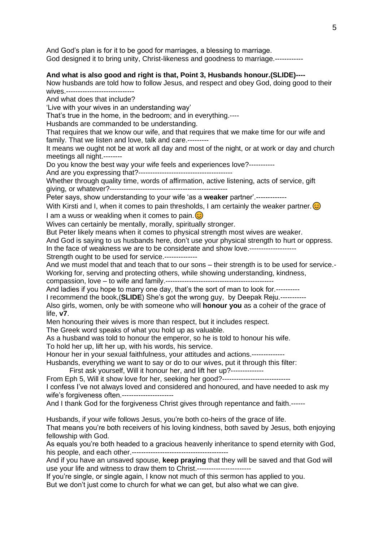And God's plan is for it to be good for marriages, a blessing to marriage. God designed it to bring unity, Christ-likeness and goodness to marriage.------------

## **And what is also good and right is that, Point 3, Husbands honour.(SLIDE)----**

Now husbands are told how to follow Jesus, and respect and obey God, doing good to their wives -----------------------------

And what does that include?

'Live with your wives in an understanding way'

That's true in the home, in the bedroom; and in everything.----

Husbands are commanded to be understanding.

That requires that we know our wife, and that requires that we make time for our wife and family. That we listen and love, talk and care.---------

It means we ought not be at work all day and most of the night, or at work or day and church meetings all night.--------

Do you know the best way your wife feels and experiences love?-----------

And are you expressing that?----------------------------------------

Whether through quality time, words of affirmation, active listening, acts of service, gift giving, or whatever?--------------------------------------------------

Peter says, show understanding to your wife 'as a **weaker** partner'.-------------

With Kirsti and I, when it comes to pain thresholds, I am certainly the weaker partner.  $\odot$ I am a wuss or weakling when it comes to pain.  $\odot$ 

Wives can certainly be mentally, morally, spiritually stronger.

But Peter likely means when it comes to physical strength most wives are weaker.

And God is saying to us husbands here, don't use your physical strength to hurt or oppress. In the face of weakness we are to be considerate and show love.--------------------

Strength ought to be used for service.--------------

And we must model that and teach that to our sons – their strength is to be used for service.- Working for, serving and protecting others, while showing understanding, kindness, compassion, love – to wife and family.----------------------------------------------

And ladies if you hope to marry one day, that's the sort of man to look for.----------

I recommend the book,(**SLIDE**) She's got the wrong guy, by Deepak Reju.-----------

Also girls, women, only be with someone who will **honour you** as a coheir of the grace of life, **v7**.

Men honouring their wives is more than respect, but it includes respect.

The Greek word speaks of what you hold up as valuable.

As a husband was told to honour the emperor, so he is told to honour his wife.

To hold her up, lift her up, with his words, his service.

Honour her in your sexual faithfulness, your attitudes and actions.--------------

Husbands, everything we want to say or do to our wives, put it through this filter:

First ask yourself. Will it honour her, and lift her up?--------------

From Eph 5, Will it show love for her, seeking her good?-----------------------------

I confess I've not always loved and considered and honoured, and have needed to ask my wife's forgiveness often.----------------------

And I thank God for the forgiveness Christ gives through repentance and faith.------

Husbands, if your wife follows Jesus, you're both co-heirs of the grace of life.

That means you're both receivers of his loving kindness, both saved by Jesus, both enjoying fellowship with God.

As equals you're both headed to a gracious heavenly inheritance to spend eternity with God, his people, and each other.-----------------------------------------

And if you have an unsaved spouse, **keep praying** that they will be saved and that God will use your life and witness to draw them to Christ.-----------------------

If you're single, or single again, I know not much of this sermon has applied to you. But we don't just come to church for what we can get, but also what we can give.